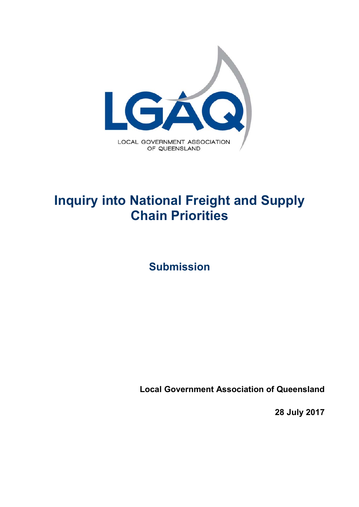

# **Inquiry into National Freight and Supply Chain Priorities**

**Submission** 

**Local Government Association of Queensland**

**28 July 2017**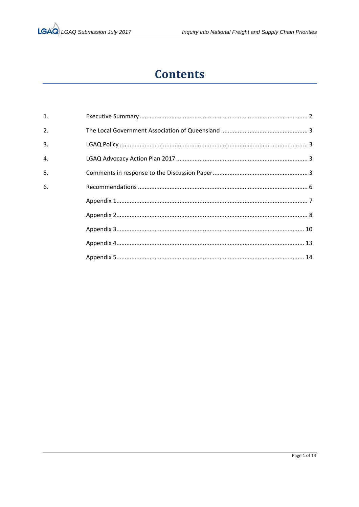## **Contents**

| $\mathbf{1}$ . |  |
|----------------|--|
| 2.             |  |
| 3.             |  |
| 4.             |  |
| 5.             |  |
| 6.             |  |
|                |  |
|                |  |
|                |  |
|                |  |
|                |  |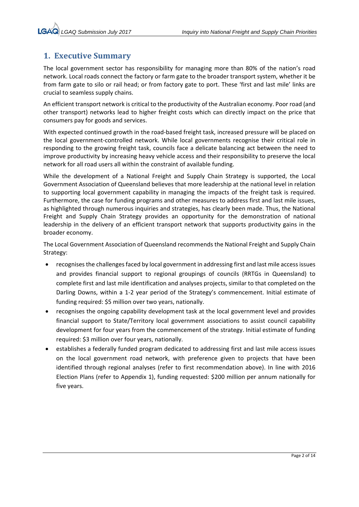### **1. Executive Summary**

The local government sector has responsibility for managing more than 80% of the nation's road network. Local roads connect the factory or farm gate to the broader transport system, whether it be from farm gate to silo or rail head; or from factory gate to port. These 'first and last mile' links are crucial to seamless supply chains.

An efficient transport network is critical to the productivity of the Australian economy. Poor road (and other transport) networks lead to higher freight costs which can directly impact on the price that consumers pay for goods and services.

With expected continued growth in the road-based freight task, increased pressure will be placed on the local government-controlled network. While local governments recognise their critical role in responding to the growing freight task, councils face a delicate balancing act between the need to improve productivity by increasing heavy vehicle access and their responsibility to preserve the local network for all road users all within the constraint of available funding.

While the development of a National Freight and Supply Chain Strategy is supported, the Local Government Association of Queensland believes that more leadership at the national level in relation to supporting local government capability in managing the impacts of the freight task is required. Furthermore, the case for funding programs and other measures to address first and last mile issues, as highlighted through numerous inquiries and strategies, has clearly been made. Thus, the National Freight and Supply Chain Strategy provides an opportunity for the demonstration of national leadership in the delivery of an efficient transport network that supports productivity gains in the broader economy.

The Local Government Association of Queensland recommends the National Freight and Supply Chain Strategy:

- recognises the challenges faced by local government in addressing first and last mile access issues and provides financial support to regional groupings of councils (RRTGs in Queensland) to complete first and last mile identification and analyses projects, similar to that completed on the Darling Downs, within a 1-2 year period of the Strategy's commencement. Initial estimate of funding required: \$5 million over two years, nationally.
- recognises the ongoing capability development task at the local government level and provides financial support to State/Territory local government associations to assist council capability development for four years from the commencement of the strategy. Initial estimate of funding required: \$3 million over four years, nationally.
- establishes a federally funded program dedicated to addressing first and last mile access issues on the local government road network, with preference given to projects that have been identified through regional analyses (refer to first recommendation above). In line with 2016 Election Plans (refer to Appendix 1), funding requested: \$200 million per annum nationally for five years.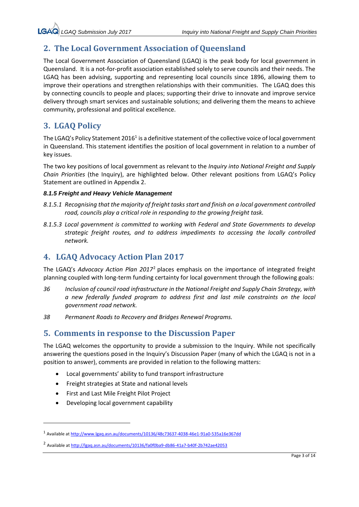### **2. The Local Government Association of Queensland**

The Local Government Association of Queensland (LGAQ) is the peak body for local government in Queensland. It is a not-for-profit association established solely to serve councils and their needs. The LGAQ has been advising, supporting and representing local councils since 1896, allowing them to improve their operations and strengthen relationships with their communities. The LGAQ does this by connecting councils to people and places; supporting their drive to innovate and improve service delivery through smart services and sustainable solutions; and delivering them the means to achieve community, professional and political excellence.

### **3. LGAQ Policy**

The LGAQ's Policy Statement 2016<sup>1</sup> is a definitive statement of the collective voice of local government in Queensland. This statement identifies the position of local government in relation to a number of key issues.

The two key positions of local government as relevant to the *Inquiry into National Freight and Supply Chain Priorities* (the Inquiry), are highlighted below. Other relevant positions from LGAQ's Policy Statement are outlined in Appendix 2.

### *8.1.5 Freight and Heavy Vehicle Management*

- *8.1.5.1 Recognising that the majority of freight tasks start and finish on a local government controlled road, councils play a critical role in responding to the growing freight task.*
- *8.1.5.3 Local government is committed to working with Federal and State Governments to develop strategic freight routes, and to address impediments to accessing the locally controlled network.*

### **4. LGAQ Advocacy Action Plan 2017**

The LGAQ's *Advocacy Action Plan 2017*2 places emphasis on the importance of integrated freight planning coupled with long‐term funding certainty for local government through the following goals:

- *36 Inclusion of council road infrastructure in the National Freight and Supply Chain Strategy, with a new federally funded program to address first and last mile constraints on the local government road network.*
- *38 Permanent Roads to Recovery and Bridges Renewal Programs.*

### **5. Comments in response to the Discussion Paper**

The LGAQ welcomes the opportunity to provide a submission to the Inquiry. While not specifically answering the questions posed in the Inquiry's Discussion Paper (many of which the LGAQ is not in a position to answer), comments are provided in relation to the following matters:

- Local governments' ability to fund transport infrastructure
- Freight strategies at State and national levels
- First and Last Mile Freight Pilot Project
- Developing local government capability

<sup>1</sup> Available at http://www.lgaq.asn.au/documents/10136/48c73637‐4038‐46e1‐91a0‐535a16e367dd

<sup>2</sup> Available at http://lgaq.asn.au/documents/10136/fa0f0ba9‐db86‐41a7‐b40f‐2b742ae42053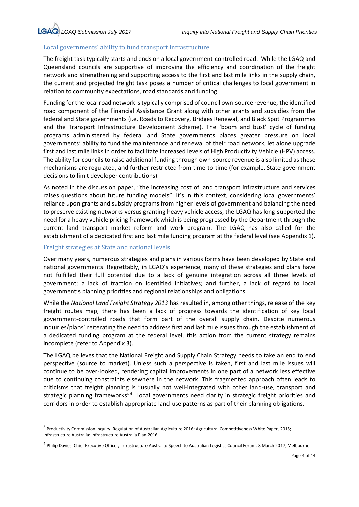### Local governments' ability to fund transport infrastructure

The freight task typically starts and ends on a local government‐controlled road. While the LGAQ and Queensland councils are supportive of improving the efficiency and coordination of the freight network and strengthening and supporting access to the first and last mile links in the supply chain, the current and projected freight task poses a number of critical challenges to local government in relation to community expectations, road standards and funding.

Funding for the local road network is typically comprised of council own‐source revenue, the identified road component of the Financial Assistance Grant along with other grants and subsidies from the federal and State governments (i.e. Roads to Recovery, Bridges Renewal, and Black Spot Programmes and the Transport Infrastructure Development Scheme). The 'boom and bust' cycle of funding programs administered by federal and State governments places greater pressure on local governments' ability to fund the maintenance and renewal of their road network, let alone upgrade first and last mile links in order to facilitate increased levels of High Productivity Vehicle (HPV) access. The ability for councils to raise additional funding through own‐source revenue is also limited as these mechanisms are regulated, and further restricted from time-to-time (for example, State government decisions to limit developer contributions).

As noted in the discussion paper, "the increasing cost of land transport infrastructure and services raises questions about future funding models". It's in this context, considering local governments' reliance upon grants and subsidy programs from higher levels of government and balancing the need to preserve existing networks versus granting heavy vehicle access, the LGAQ has long‐supported the need for a heavy vehicle pricing framework which is being progressed by the Department through the current land transport market reform and work program. The LGAQ has also called for the establishment of a dedicated first and last mile funding program at the federal level (see Appendix 1).

### Freight strategies at State and national levels

Over many years, numerous strategies and plans in various forms have been developed by State and national governments. Regrettably, in LGAQ's experience, many of these strategies and plans have not fulfilled their full potential due to a lack of genuine integration across all three levels of government; a lack of traction on identified initiatives; and further, a lack of regard to local government's planning priorities and regional relationships and obligations.

While the *National Land Freight Strategy 2013* has resulted in, among other things, release of the key freight routes map, there has been a lack of progress towards the identification of key local government-controlled roads that form part of the overall supply chain. Despite numerous inquiries/plans<sup>3</sup> reiterating the need to address first and last mile issues through the establishment of a dedicated funding program at the federal level, this action from the current strategy remains incomplete (refer to Appendix 3).

The LGAQ believes that the National Freight and Supply Chain Strategy needs to take an end to end perspective (source to market). Unless such a perspective is taken, first and last mile issues will continue to be over‐looked, rendering capital improvements in one part of a network less effective due to continuing constraints elsewhere in the network. This fragmented approach often leads to criticisms that freight planning is "usually not well‐integrated with other land‐use, transport and strategic planning frameworks"<sup>4</sup>. Local governments need clarity in strategic freight priorities and corridors in order to establish appropriate land-use patterns as part of their planning obligations.

<sup>&</sup>lt;sup>3</sup> Productivity Commission Inquiry: Regulation of Australian Agriculture 2016; Agricultural Competitiveness White Paper, 2015; Infrastructure Australia: Infrastructure Australia Plan 2016

<sup>&</sup>lt;sup>4</sup> Philip Davies, Chief Executive Officer, Infrastructure Australia: Speech to Australian Logistics Council Forum, 8 March 2017, Melbourne.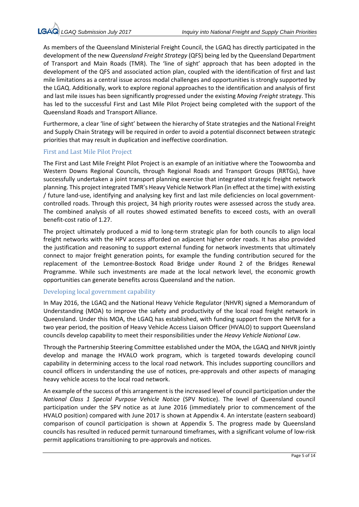As members of the Queensland Ministerial Freight Council, the LGAQ has directly participated in the development of the new *Queensland Freight Strategy* (QFS) being led by the Queensland Department of Transport and Main Roads (TMR). The 'line of sight' approach that has been adopted in the development of the QFS and associated action plan, coupled with the identification of first and last mile limitations as a central issue across modal challenges and opportunities is strongly supported by the LGAQ. Additionally, work to explore regional approaches to the identification and analysis of first and last mile issues has been significantly progressed under the existing *Moving Freight* strategy. This has led to the successful First and Last Mile Pilot Project being completed with the support of the Queensland Roads and Transport Alliance.

Furthermore, a clear 'line of sight' between the hierarchy of State strategies and the National Freight and Supply Chain Strategy will be required in order to avoid a potential disconnect between strategic priorities that may result in duplication and ineffective coordination.

### First and Last Mile Pilot Project

The First and Last Mile Freight Pilot Project is an example of an initiative where the Toowoomba and Western Downs Regional Councils, through Regional Roads and Transport Groups (RRTGs), have successfully undertaken a joint transport planning exercise that integrated strategic freight network planning. This project integrated TMR's Heavy Vehicle Network Plan (in effect at the time) with existing / future land‐use, identifying and analysing key first and last mile deficiencies on local government‐ controlled roads. Through this project, 34 high priority routes were assessed across the study area. The combined analysis of all routes showed estimated benefits to exceed costs, with an overall benefit‐cost ratio of 1.27.

The project ultimately produced a mid to long-term strategic plan for both councils to align local freight networks with the HPV access afforded on adjacent higher order roads. It has also provided the justification and reasoning to support external funding for network investments that ultimately connect to major freight generation points, for example the funding contribution secured for the replacement of the Lemontree‐Bostock Road Bridge under Round 2 of the Bridges Renewal Programme. While such investments are made at the local network level, the economic growth opportunities can generate benefits across Queensland and the nation.

#### Developing local government capability

In May 2016, the LGAQ and the National Heavy Vehicle Regulator (NHVR) signed a Memorandum of Understanding (MOA) to improve the safety and productivity of the local road freight network in Queensland. Under this MOA, the LGAQ has established, with funding support from the NHVR for a two year period, the position of Heavy Vehicle Access Liaison Officer (HVALO) to support Queensland councils develop capability to meet their responsibilities under the *Heavy Vehicle National Law*.

Through the Partnership Steering Committee established under the MOA, the LGAQ and NHVR jointly develop and manage the HVALO work program, which is targeted towards developing council capability in determining access to the local road network. This includes supporting councillors and council officers in understanding the use of notices, pre‐approvals and other aspects of managing heavy vehicle access to the local road network.

An example of the success of this arrangement is the increased level of council participation under the *National Class 1 Special Purpose Vehicle Notice*  (SPV Notice). The level of Queensland council participation under the SPV notice as at June 2016 (immediately prior to commencement of the HVALO position) compared with June 2017 is shown at Appendix 4. An interstate (eastern seaboard) comparison of council participation is shown at Appendix 5. The progress made by Queensland councils has resulted in reduced permit turnaround timeframes, with a significant volume of low‐risk permit applications transitioning to pre‐approvals and notices.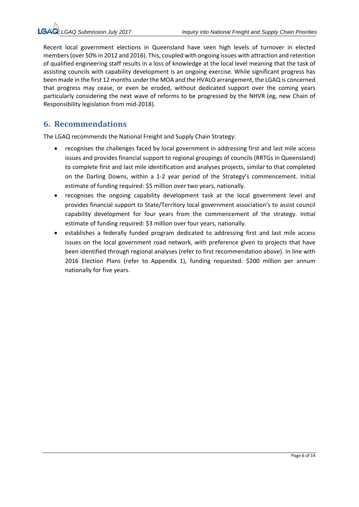Recent local government elections in Queensland have seen high levels of turnover in elected members (over 50% in 2012 and 2016). This, coupled with ongoing issues with attraction and retention of qualified engineering staff results in a loss of knowledge at the local level meaning that the task of assisting councils with capability development is an ongoing exercise. While significant progress has been made in the first 12 months under the MOA and the HVALO arrangement, the LGAQ is concerned that progress may cease, or even be eroded, without dedicated support over the coming years particularly considering the next wave of reforms to be progressed by the NHVR (eg, new Chain of Responsibility legislation from mid‐2018).

### **6. Recommendations**

The LGAQ recommends the National Freight and Supply Chain Strategy:

- recognises the challenges faced by local government in addressing first and last mile access issues and provides financial support to regional groupings of councils (RRTGs in Queensland) to complete first and last mile identification and analyses projects, similar to that completed on the Darling Downs, within a 1-2 year period of the Strategy's commencement. Initial estimate of funding required: \$5 million over two years, nationally.
- recognises the ongoing capability development task at the local government level and provides financial support to State/Territory local government association's to assist council capability development for four years from the commencement of the strategy. Initial estimate of funding required: \$3 million over four years, nationally.
- establishes a federally funded program dedicated to addressing first and last mile access issues on the local government road network, with preference given to projects that have been identified through regional analyses (refer to first recommendation above). In line with 2016 Election Plans (refer to Appendix 1), funding requested: \$200 million per annum nationally for five years.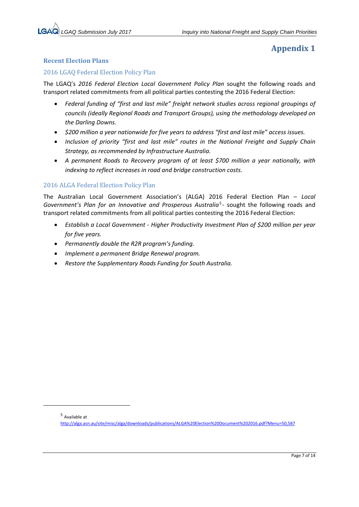### **Recent Election Plans**

### 2016 LGAQ Federal Election Policy Plan

The LGAQ's *2016 Federal Election Local Government Policy Plan* sought the following roads and transport related commitments from all political parties contesting the 2016 Federal Election:

- *Federal funding of "first and last mile" freight network studies across regional groupings of councils (ideally Regional Roads and Transport Groups), using the methodology developed on the Darling Downs.*
- *\$200 million a year nationwide for five years to address "first and last mile" access issues.*
- *Inclusion of priority "first and last mile" routes in the National Freight and Supply Chain Strategy, as recommended by Infrastructure Australia.*
- **•** A permanent Roads to Recovery program of at least \$700 million a year nationally, with *indexing to reflect increases in road and bridge construction costs.*

### 2016 ALGA Federal Election Policy Plan

The Australian Local Government Association's (ALGA) 2016 Federal Election Plan – *Local Government's Plan for an Innovative and Prosperous Australia*<sup>5</sup>- sought the following roads and transport related commitments from all political parties contesting the 2016 Federal Election:

- *Establish a Local Government ‐ Higher Productivity Investment Plan of \$200 million per year for five years.*
- *Permanently double the R2R program's funding.*
- *Implement a permanent Bridge Renewal program.*
- *Restore the Supplementary Roads Funding for South Australia.*

<sup>5</sup> Available at

http://alga.asn.au/site/misc/alga/downloads/publications/ALGA%20Election%20Document%202016.pdf?Menu=50,587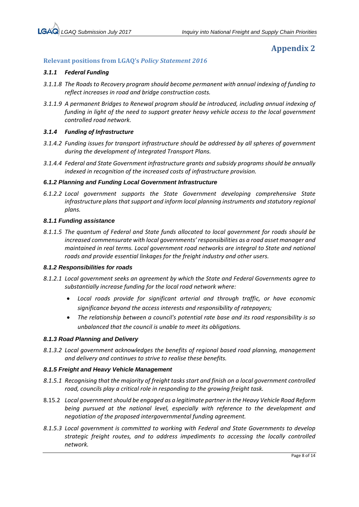### **Relevant positions from LGAQ's** *Policy Statement 2016*

#### *3.1.1 Federal Funding*

- *3.1.1.8 The Roads to Recovery program should become permanent with annual indexing of funding to reflect increases in road and bridge construction costs.*
- *3.1.1.9 A permanent Bridges to Renewal program should be introduced, including annual indexing of funding in light of the need to support greater heavy vehicle access to the local government controlled road network.*

#### *3.1.4 Funding of Infrastructure*

- *3.1.4.2 Funding issues for transport infrastructure should be addressed by all spheres of government during the development of Integrated Transport Plans.*
- *3.1.4.4 Federal and State Government infrastructure grants and subsidy programs should be annually indexed in recognition of the increased costs of infrastructure provision.*

#### *6.1.2 Planning and Funding Local Government Infrastructure*

*6.1.2.2 Local government supports the State Government developing comprehensive State*  infrastructure plans that support and inform local planning instruments and statutory regional *plans.*

#### *8.1.1 Funding assistance*

*8.1.1.5 The quantum of Federal and State funds allocated to local government for roads should be increased commensurate with local governments' responsibilities as a road asset manager and maintained in real terms. Local government road networks are integral to State and national roads and provide essential linkages for the freight industry and other users.* 

#### *8.1.2 Responsibilities for roads*

- *8.1.2.1 Local government seeks an agreement by which the State and Federal Governments agree to substantially increase funding for the local road network where:* 
	- *Local roads provide for significant arterial and through traffic, or have economic significance beyond the access interests and responsibility of ratepayers;*
	- *The relationship between a council's potential rate base and its road responsibility is so unbalanced that the council is unable to meet its obligations.*

#### *8.1.3 Road Planning and Delivery*

*8.1.3.2 Local government acknowledges the benefits of regional based road planning, management and delivery and continues to strive to realise these benefits.*

#### *8.1.5 Freight and Heavy Vehicle Management*

- *8.1.5.1 Recognising that the majority of freight tasks start and finish on a local government controlled road, councils play a critical role in responding to the growing freight task.*
- 8.15.2 *Local government should be engaged as a legitimate partner in the Heavy Vehicle Road Reform being pursued at the national level, especially with reference to the development and negotiation of the proposed intergovernmental funding agreement.*
- *8.1.5.3 Local government is committed to working with Federal and State Governments to develop strategic freight routes, and to address impediments to accessing the locally controlled network.*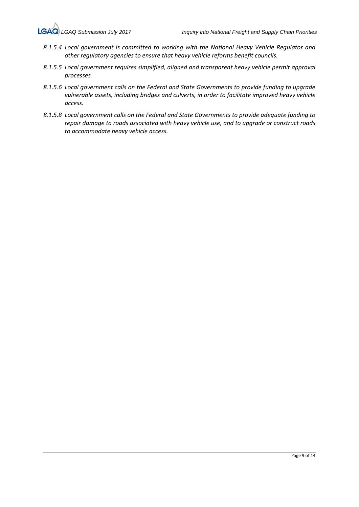- *8.1.5.4 Local government is committed to working with the National Heavy Vehicle Regulator and other regulatory agencies to ensure that heavy vehicle reforms benefit councils.*
- *8.1.5.5 Local government requires simplified, aligned and transparent heavy vehicle permit approval processes.*
- *8.1.5.6 Local government calls on the Federal and State Governments to provide funding to upgrade vulnerable assets, including bridges and culverts, in order to facilitate improved heavy vehicle access.*
- *8.1.5.8 Local government calls on the Federal and State Governments to provide adequate funding to repair damage to roads associated with heavy vehicle use, and to upgrade or construct roads to accommodate heavy vehicle access.*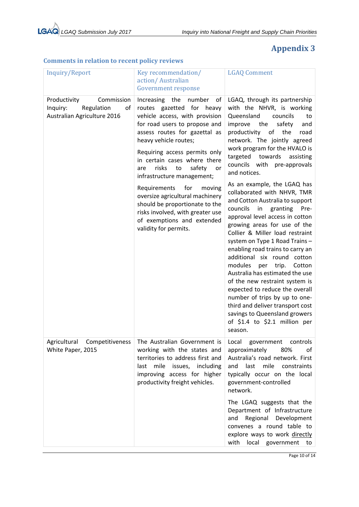| Inquiry/Report                                                                            | Key recommendation/<br>action/Australian<br><b>Government response</b>                                                                                                                                                                                                                                                           | <b>LGAQ Comment</b>                                                                                                                                                                                                                                                                                                                                                                                                                                                                                                                                                                                                                          |
|-------------------------------------------------------------------------------------------|----------------------------------------------------------------------------------------------------------------------------------------------------------------------------------------------------------------------------------------------------------------------------------------------------------------------------------|----------------------------------------------------------------------------------------------------------------------------------------------------------------------------------------------------------------------------------------------------------------------------------------------------------------------------------------------------------------------------------------------------------------------------------------------------------------------------------------------------------------------------------------------------------------------------------------------------------------------------------------------|
| Productivity<br>Commission<br>Inquiry:<br>Regulation<br>οf<br>Australian Agriculture 2016 | Increasing the<br>number<br>of<br>routes gazetted for<br>heavy<br>vehicle access, with provision<br>for road users to propose and<br>assess routes for gazettal as<br>heavy vehicle routes;<br>Requiring access permits only<br>in certain cases where there<br>risks<br>to<br>safety<br>are<br>or<br>infrastructure management; | LGAQ, through its partnership<br>with the NHVR, is working<br>Queensland<br>councils<br>to<br>improve the<br>safety<br>and<br>of the<br>productivity<br>road<br>network. The jointly agreed<br>work program for the HVALO is<br>targeted towards<br>assisting<br>councils with pre-approvals<br>and notices.                                                                                                                                                                                                                                                                                                                                 |
|                                                                                           | Requirements<br>for<br>moving<br>oversize agricultural machinery<br>should be proportionate to the<br>risks involved, with greater use<br>of exemptions and extended<br>validity for permits.                                                                                                                                    | As an example, the LGAQ has<br>collaborated with NHVR, TMR<br>and Cotton Australia to support<br>councils<br>in<br>granting<br>Pre-<br>approval level access in cotton<br>growing areas for use of the<br>Collier & Miller load restraint<br>system on Type 1 Road Trains -<br>enabling road trains to carry an<br>additional six round cotton<br>modules<br>trip.<br>Cotton<br>per<br>Australia has estimated the use<br>of the new restraint system is<br>expected to reduce the overall<br>number of trips by up to one-<br>third and deliver transport cost<br>savings to Queensland growers<br>of \$1.4 to \$2.1 million per<br>season. |
| Agricultural Competitiveness<br>White Paper, 2015                                         | The Australian Government is<br>working with the states and<br>territories to address first and<br>last mile issues, including<br>improving access for higher<br>productivity freight vehicles.                                                                                                                                  | Local government controls<br>approximately<br>80%<br>of<br>Australia's road network. First<br>last mile constraints<br>and<br>typically occur on the local<br>government-controlled<br>network.                                                                                                                                                                                                                                                                                                                                                                                                                                              |
|                                                                                           |                                                                                                                                                                                                                                                                                                                                  | The LGAQ suggests that the<br>Department of Infrastructure<br>and Regional<br>Development<br>convenes a round table to<br>explore ways to work directly<br>with local government to                                                                                                                                                                                                                                                                                                                                                                                                                                                          |

### **Comments in relation to recent policy reviews**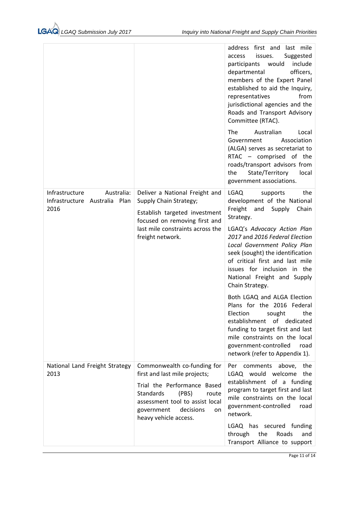|                                                                       |                                                                                                                                                                                                                         | first and last mile<br>address<br>issues.<br>Suggested<br>access<br>include<br>participants<br>would<br>officers,<br>departmental<br>members of the Expert Panel<br>established to aid the Inquiry,<br>from<br>representatives<br>jurisdictional agencies and the<br>Roads and Transport Advisory<br>Committee (RTAC). |
|-----------------------------------------------------------------------|-------------------------------------------------------------------------------------------------------------------------------------------------------------------------------------------------------------------------|------------------------------------------------------------------------------------------------------------------------------------------------------------------------------------------------------------------------------------------------------------------------------------------------------------------------|
|                                                                       |                                                                                                                                                                                                                         | The<br>Australian<br>Local<br>Association<br>Government<br>(ALGA) serves as secretariat to<br>RTAC - comprised of the<br>roads/transport advisors from<br>the<br>State/Territory<br>local<br>government associations.                                                                                                  |
| Infrastructure<br>Australia:<br>Infrastructure Australia Plan<br>2016 | Deliver a National Freight and<br>Supply Chain Strategy;<br>Establish targeted investment<br>focused on removing first and                                                                                              | LGAQ<br>the<br>supports<br>development of the National<br>Freight and<br>Supply<br>Chain<br>Strategy.                                                                                                                                                                                                                  |
|                                                                       | last mile constraints across the<br>freight network.                                                                                                                                                                    | LGAQ's Advocacy Action Plan<br>2017 and 2016 Federal Election<br>Local Government Policy Plan<br>seek (sought) the identification<br>of critical first and last mile<br>issues for inclusion in the<br>National Freight and Supply<br>Chain Strategy.                                                                  |
|                                                                       |                                                                                                                                                                                                                         | Both LGAQ and ALGA Election<br>Plans for the 2016 Federal<br>Election sought<br>the<br>establishment of dedicated<br>funding to target first and last<br>mile constraints on the local<br>government-controlled<br>road<br>network (refer to Appendix 1).                                                              |
| National Land Freight Strategy<br>2013                                | Commonwealth co-funding for<br>first and last mile projects;<br>Trial the Performance Based<br>Standards<br>(PBS)<br>route<br>assessment tool to assist local<br>government<br>decisions<br>on<br>heavy vehicle access. | Per comments above, the<br>LGAQ would welcome<br>the<br>establishment of a funding<br>program to target first and last<br>mile constraints on the local<br>government-controlled<br>road<br>network.                                                                                                                   |
|                                                                       |                                                                                                                                                                                                                         | LGAQ has secured funding<br>through<br>the<br>Roads<br>and<br>Transport Alliance to support                                                                                                                                                                                                                            |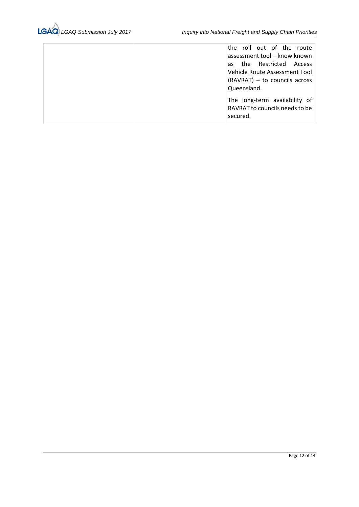|  | the roll out of the route<br>assessment tool - know known                                                 |
|--|-----------------------------------------------------------------------------------------------------------|
|  | as the Restricted Access<br>Vehicle Route Assessment Tool<br>(RAVRAT) - to councils across<br>Queensland. |
|  | The long-term availability of<br>RAVRAT to councils needs to be<br>secured.                               |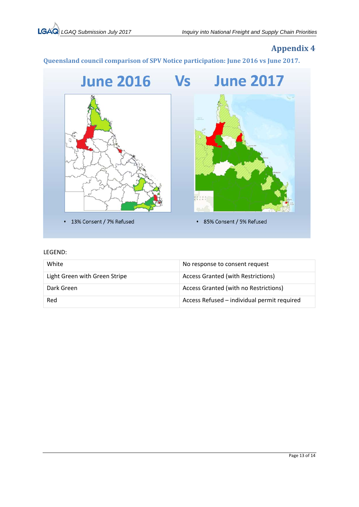**Queensland council comparison of SPV Notice participation: June 2016 vs June 2017.**



#### LEGEND:

| White                         | No response to consent request              |
|-------------------------------|---------------------------------------------|
| Light Green with Green Stripe | <b>Access Granted (with Restrictions)</b>   |
| Dark Green                    | Access Granted (with no Restrictions)       |
| Red                           | Access Refused - individual permit required |